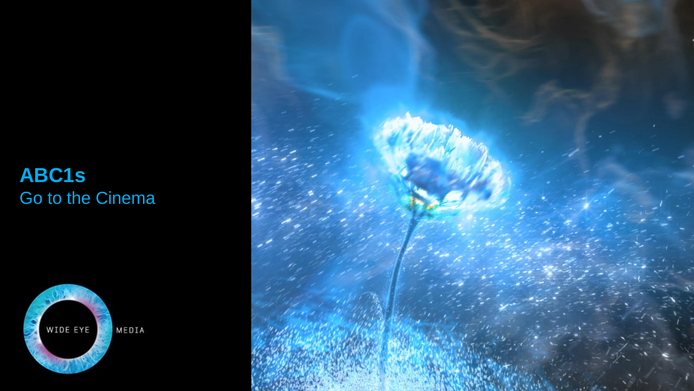## **ABC1s**  Go to the Cinema



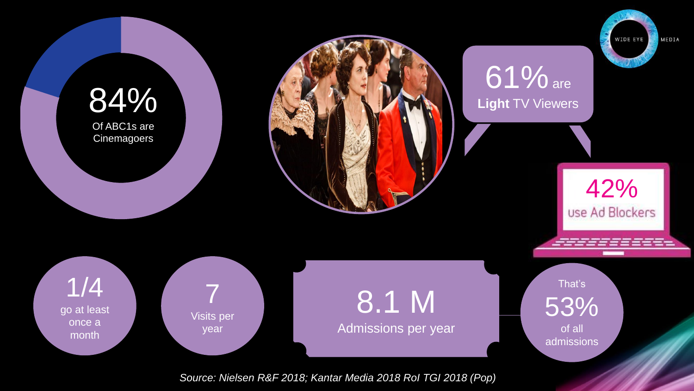

*Source: Nielsen R&F 2018; Kantar Media 2018 RoI TGI 2018 (Pop)*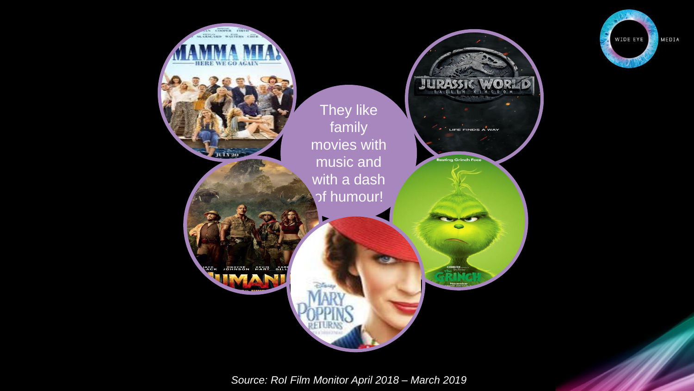

WIDE EYE

MEDIA

*Source: RoI Film Monitor April 2018 – March 2019*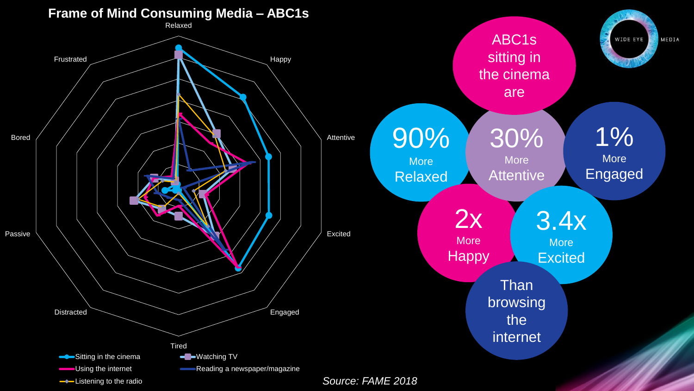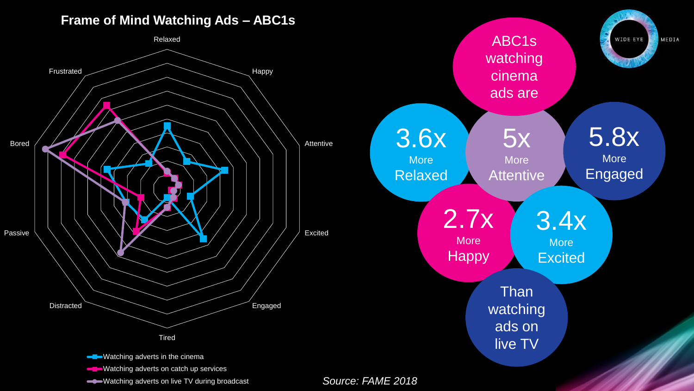## **Frame of Mind Watching Ads – ABC1s**



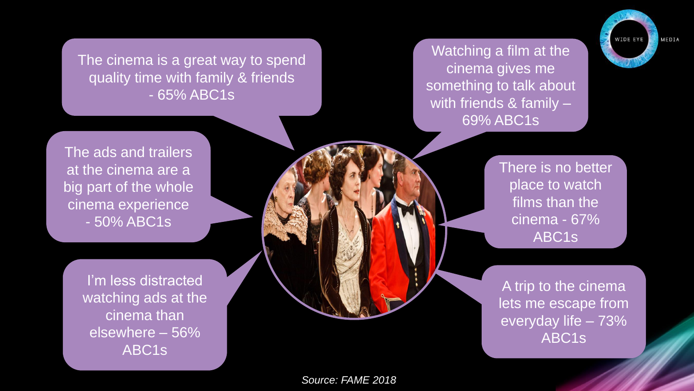Watching a film at the cinema gives me something to talk about with friends & family – 69% ABC1s

The cinema is a great way to spend quality time with family & friends - 65% ABC1s

> There is no better place to watch films than the cinema - 67% ABC1s

MEDIA

WIDE EY

A trip to the cinema lets me escape from everyday life – 73% ABC1s

The ads and trailers at the cinema are a big part of the whole cinema experience - 50% ABC1s

> I'm less distracted watching ads at the cinema than elsewhere – 56% ABC1s